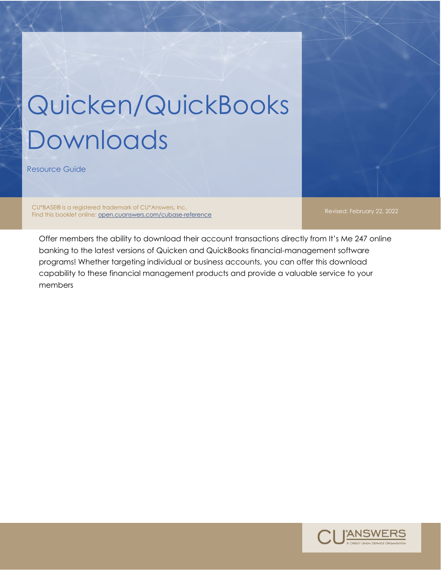## Quicken/QuickBooks Downloads

Resource Guide

CU\*BASE® is a registered trademark of CU\*Answers, Inc. Cui bASEW is a registered fragemark of Cui Ariswers, Inc.<br>Find this booklet online: <u>open.cuanswers.com/cubase-reference</u> Revised: Revised: February 22, 2022

Offer members the ability to download their account transactions directly from It's Me 247 online banking to the latest versions of Quicken and QuickBooks financial-management software programs! Whether targeting individual or business accounts, you can offer this download capability to these financial management products and provide a valuable service to your members

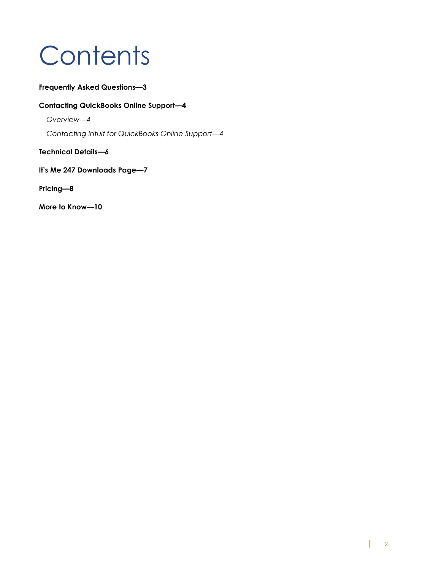## **Contents**

#### **[Frequently Asked Questions](#page-2-0)—3**

#### **[Contacting QuickBooks Online Support](#page-3-0)—4**

*[Overview](#page-3-1)—4*

*[Contacting Intuit for QuickBooks Online Support](#page-3-2)—4*

**[Technical Details](#page-5-0)—6**

**[It's Me 247 Downloads Page—](#page-6-0)7**

**[Pricing](#page-6-1)—8**

**[More to Know](#page-9-0)—10**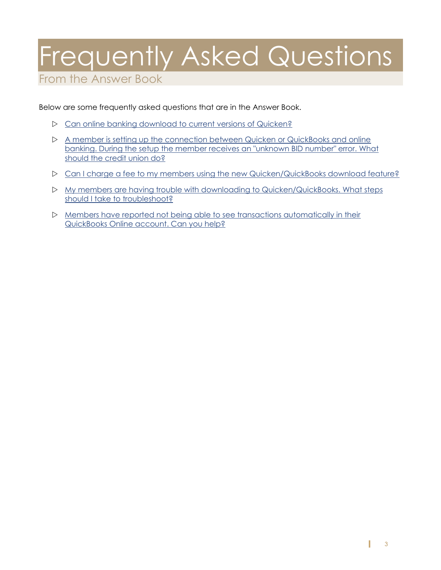## <span id="page-2-0"></span>Frequently Asked Questions

From the Answer Book

Below are some frequently asked questions that are in the Answer Book.

- [Can](https://kb.cuanswers.com/cuanswers/ext/kbdetail.aspx?kbid=2409) online banking download to current versions of Quicken?
- [A member is setting up the connection between Quicken or QuickBooks and online](https://kb.cuanswers.com/cuanswers/ext/kbdetail.aspx?kbid=4286)  [banking. During the setup the member receives an](https://kb.cuanswers.com/cuanswers/ext/kbdetail.aspx?kbid=4286) "unknown BID number" error. What [should the credit union do?](https://kb.cuanswers.com/cuanswers/ext/kbdetail.aspx?kbid=4286)
- [Can I charge a fee to my members using the new Quicken/QuickBooks download feature?](https://kb.cuanswers.com/cuanswers/ext/kbdetail.aspx?kbid=2906)
- [My members are having trouble with downloading to Quicken/QuickBooks. What steps](https://kb.cuanswers.com/cuanswers/ext/kbdetail.aspx?kbid=5176)  [should I take to troubleshoot?](https://kb.cuanswers.com/cuanswers/ext/kbdetail.aspx?kbid=5176)
- $\triangleright$  Members have reported not being able to see transactions automatically in their [QuickBooks Online account. Can you help?](https://kb.cuanswers.com/cuanswers/ext/kbdetail.aspx?kbid=5177)

I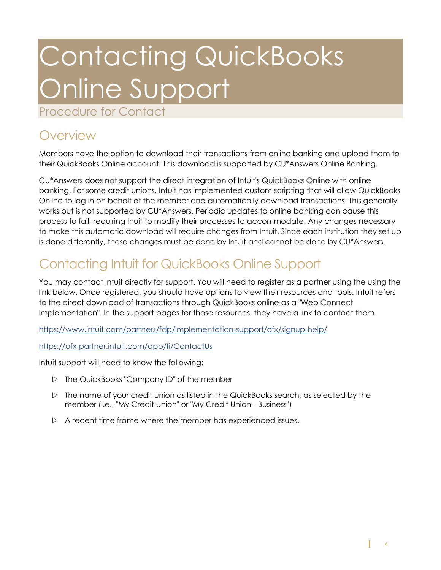## <span id="page-3-0"></span>Contacting QuickBooks Online Support

Procedure for Contact

### <span id="page-3-1"></span>**Overview**

Members have the option to download their transactions from online banking and upload them to their QuickBooks Online account. This download is supported by CU\*Answers Online Banking.

CU\*Answers does not support the direct integration of Intuit's QuickBooks Online with online banking. For some credit unions, Intuit has implemented custom scripting that will allow QuickBooks Online to log in on behalf of the member and automatically download transactions. This generally works but is not supported by CU\*Answers. Periodic updates to online banking can cause this process to fail, requiring Inuit to modify their processes to accommodate. Any changes necessary to make this automatic download will require changes from Intuit. Since each institution they set up is done differently, these changes must be done by Intuit and cannot be done by CU\*Answers.

### <span id="page-3-2"></span>Contacting Intuit for QuickBooks Online Support

You may contact Intuit directly for support. You will need to register as a partner using the using the link below. Once registered, you should have options to view their resources and tools. Intuit refers to the direct download of transactions through QuickBooks online as a "Web Connect Implementation". In the support pages for those resources, they have a link to contact them.

<https://www.intuit.com/partners/fdp/implementation-support/ofx/signup-help/>

<https://ofx-partner.intuit.com/app/fi/ContactUs>

Intuit support will need to know the following:

- $\triangleright$  The QuickBooks "Company ID" of the member
- $\triangleright$  The name of your credit union as listed in the QuickBooks search, as selected by the member (i.e., "My Credit Union" or "My Credit Union - Business")
- $\triangleright$  A recent time frame where the member has experienced issues.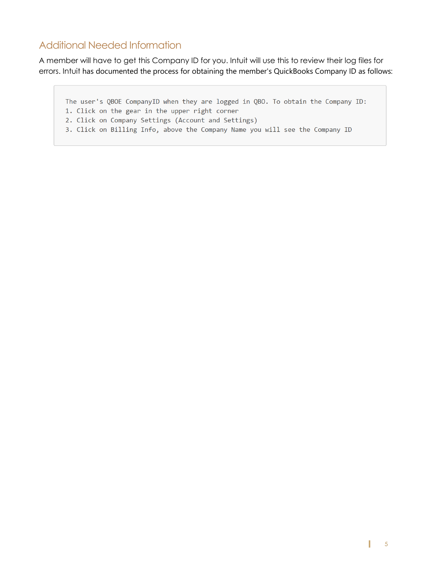### Additional Needed Information

A member will have to get this Company ID for you. Intuit will use this to review their log files for errors. Intuit has documented the process for obtaining the member's QuickBooks Company ID as follows:

The user's QBOE CompanyID when they are logged in QBO. To obtain the Company ID:

- 1. Click on the gear in the upper right corner
- 2. Click on Company Settings (Account and Settings)
- 3. Click on Billing Info, above the Company Name you will see the Company ID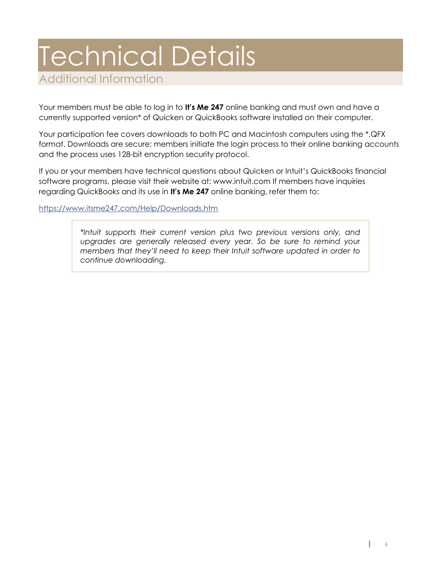# <span id="page-5-0"></span>Technical Details

Additional Information

Your members must be able to log in to **It's Me 247** online banking and must own and have a currently supported version\* of Quicken or QuickBooks software installed on their computer.

Your participation fee covers downloads to both PC and Macintosh computers using the \*.QFX format. Downloads are secure; members initiate the login process to their online banking accounts and the process uses 128-bit encryption security protocol.

If you or your members have technical questions about Quicken or Intuit's QuickBooks financial software programs, please visit their website at: www.intuit.com If members have inquiries regarding QuickBooks and its use in **It's Me 247** online banking, refer them to:

<https://www.itsme247.com/Help/Downloads.htm>

*\*Intuit supports their current version plus two previous versions only, and upgrades are generally released every year. So be sure to remind your members that they'll need to keep their Intuit software updated in order to continue downloading.*

I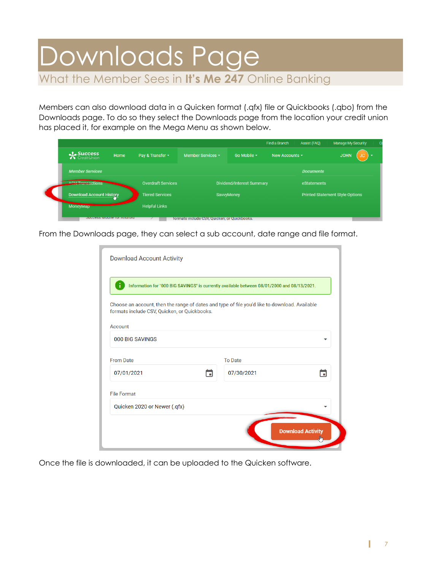### <span id="page-6-0"></span>Downloads Page What the Member Sees in **It's Me 247** Online Banking

Members can also download data in a Quicken format (.qfx) file or Quickbooks (.qbo) from the Downloads page. To do so they select the Downloads page from the location your credit union has placed it, for example on the Mega Menu as shown below.

|  |                                            |  |                                              |                                       |  | Find a Branch       | Assist (FAQ)     | <b>Manage My Security</b><br>$\circ$    |  |
|--|--------------------------------------------|--|----------------------------------------------|---------------------------------------|--|---------------------|------------------|-----------------------------------------|--|
|  | $\triangle$ Success<br>Home<br>CreditUnion |  | Pay & Transfer ~                             | Member Services *<br>Go Mobile $\sim$ |  | New Accounts $\sim$ |                  | <b>JOHN</b><br>$\overline{\phantom{a}}$ |  |
|  | <b>Member Services</b>                     |  |                                              |                                       |  |                     | <b>Documents</b> |                                         |  |
|  | ACH Transactions                           |  | <b>Overdraft Services</b>                    | <b>Dividend/Interest Summary</b>      |  |                     | eStatements      |                                         |  |
|  | Download Account History                   |  | <b>Tiered Services</b>                       | SavvyMoney                            |  |                     |                  | <b>Printed Statement Style Options</b>  |  |
|  | <b>MoneyMap</b>                            |  | <b>Helpful Links</b>                         |                                       |  |                     |                  |                                         |  |
|  | <b>OUCCESS IVIODITE TOT ATTUTURE</b>       |  | formats include CSV, Quicken, or Quickbooks. |                                       |  |                     |                  |                                         |  |

From the Downloads page, they can select a sub account, date range and file format.

| Download Account Activity                                                                                                                     |   |                |                          |  |  |  |  |
|-----------------------------------------------------------------------------------------------------------------------------------------------|---|----------------|--------------------------|--|--|--|--|
| Information for "000 BIG SAVINGS" is currently available between 08/01/2000 and 08/13/2021.                                                   |   |                |                          |  |  |  |  |
| Choose an account, then the range of dates and type of file you'd like to download. Available<br>formats include CSV, Quicken, or Quickbooks. |   |                |                          |  |  |  |  |
| Account                                                                                                                                       |   |                |                          |  |  |  |  |
| 000 BIG SAVINGS                                                                                                                               |   |                |                          |  |  |  |  |
| <b>From Date</b>                                                                                                                              |   | <b>To Date</b> |                          |  |  |  |  |
| 07/01/2021                                                                                                                                    | п | 07/30/2021     |                          |  |  |  |  |
| <b>File Format</b>                                                                                                                            |   |                |                          |  |  |  |  |
| Quicken 2020 or Newer (.qfx)                                                                                                                  |   |                |                          |  |  |  |  |
|                                                                                                                                               |   |                | <b>Download Activity</b> |  |  |  |  |

<span id="page-6-1"></span>Once the file is downloaded, it can be uploaded to the Quicken software.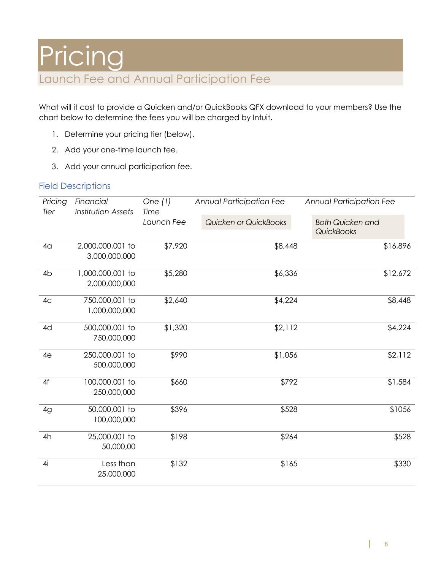What will it cost to provide a Quicken and/or QuickBooks QFX download to your members? Use the chart below to determine the fees you will be charged by Intuit.

- 1. Determine your pricing tier (below).
- 2. Add your one-time launch fee.
- 3. Add your annual participation fee.

### Field Descriptions

| Pricing<br>Tier | Financial<br><b>Institution Assets</b> | One $(1)$<br>Time | <b>Annual Participation Fee</b> | <b>Annual Participation Fee</b>       |  |
|-----------------|----------------------------------------|-------------------|---------------------------------|---------------------------------------|--|
|                 |                                        | Launch Fee        | Quicken or QuickBooks           | <b>Both Quicken and</b><br>QuickBooks |  |
| 4 <sub>q</sub>  | 2,000,000,001 to<br>3,000,000.000      | \$7,920           | \$8,448                         | \$16,896                              |  |
| 4 <sub>b</sub>  | 1,000,000,001 to<br>2,000,000,000      | \$5,280           | \$6,336                         | \$12,672                              |  |
| 4 <sub>C</sub>  | 750,000,001 to<br>1,000,000,000        | \$2,640           | \$4,224                         | \$8,448                               |  |
| 4d              | 500,000,001 to<br>750,000,000          | \$1,320           | \$2,112                         | \$4,224                               |  |
| 4e              | 250,000,001 to<br>500,000,000          | \$990             | \$1,056                         | \$2,112                               |  |
| 4f              | 100,000.001 to<br>250,000,000          | \$660             | \$792                           | \$1,584                               |  |
| 4g              | 50,000,001 to<br>100,000,000           | \$396             | \$528                           | \$1056                                |  |
| 4h              | 25,000,001 to<br>50,000,00             | \$198             | \$264                           | \$528                                 |  |
| 4i              | Less than<br>25,000,000                | \$132             | \$165                           | \$330                                 |  |

T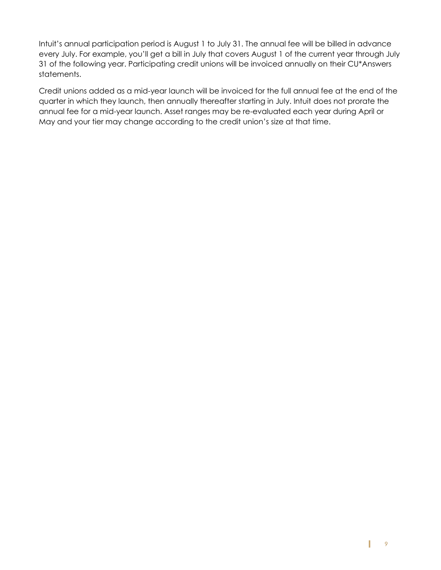Intuit's annual participation period is August 1 to July 31. The annual fee will be billed in advance every July. For example, you'll get a bill in July that covers August 1 of the current year through July 31 of the following year. Participating credit unions will be invoiced annually on their CU\*Answers statements.

Credit unions added as a mid-year launch will be invoiced for the full annual fee at the end of the quarter in which they launch, then annually thereafter starting in July. Intuit does not prorate the annual fee for a mid-year launch. Asset ranges may be re-evaluated each year during April or May and your tier may change according to the credit union's size at that time.